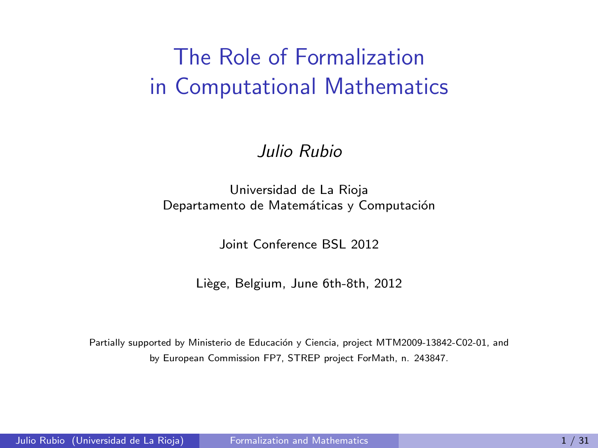## The Role of Formalization in Computational Mathematics

#### Julio Rubio

#### Universidad de La Rioja Departamento de Matemáticas y Computación

<span id="page-0-0"></span>Joint Conference BSL 2012

Liège, Belgium, June 6th-8th, 2012

Partially supported by Ministerio de Educación y Ciencia, project MTM2009-13842-C02-01, and by European Commission FP7, STREP project ForMath, n. 243847.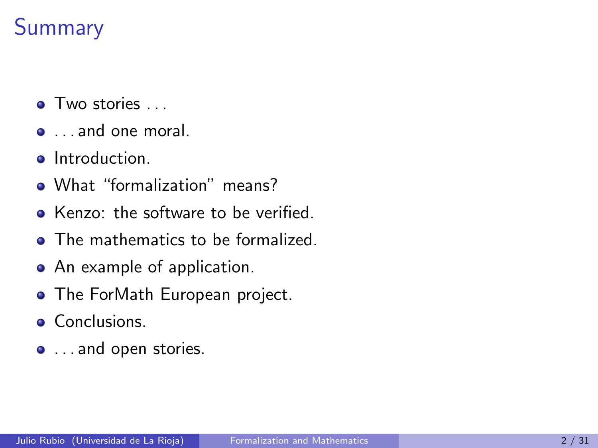#### **Summary**

- Two stories ...
- . . . and one moral.
- **o** Introduction.
- What "formalization" means?
- Kenzo: the software to be verified.
- The mathematics to be formalized.
- An example of application.
- The ForMath European project.
- **Conclusions.**
- $\bullet$  ... and open stories.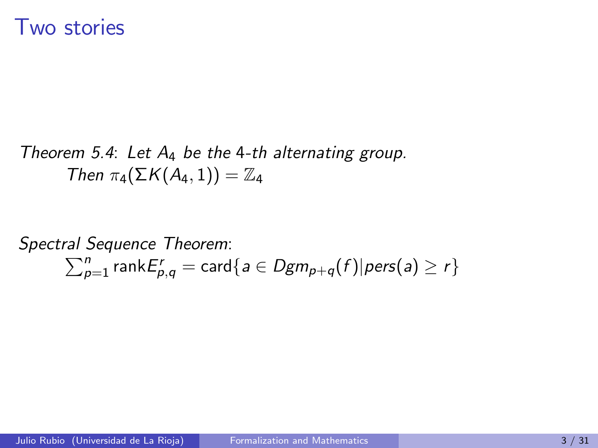#### Two stories

Theorem 5.4: Let  $A_4$  be the 4-th alternating group. Then  $\pi_4(\Sigma K(A_4, 1)) = \mathbb{Z}_4$ 

Spectral Sequence Theorem :  $\sum_{p=1}^{n}$  rank $E_{p,q}^{r} = \textsf{card}\{a \in Dgm_{p+q}(f) | \textit{pers}(a) \geq r\}$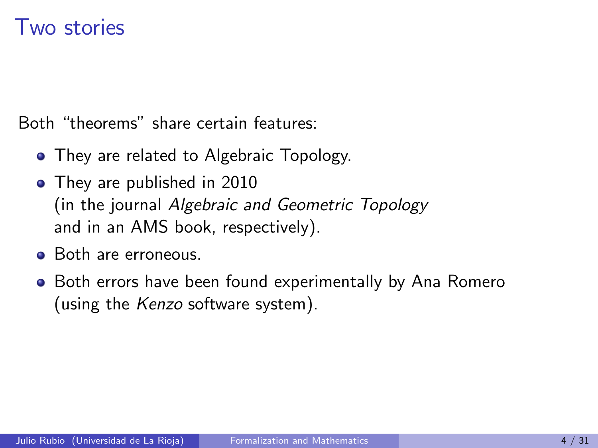#### Two stories

Both "theorems" share certain features:

- They are related to Algebraic Topology.
- They are published in 2010 (in the journal Algebraic and Geometric Topology and in an AMS book, respectively).
- Both are erroneous.
- Both errors have been found experimentally by Ana Romero (using the Kenzo software system).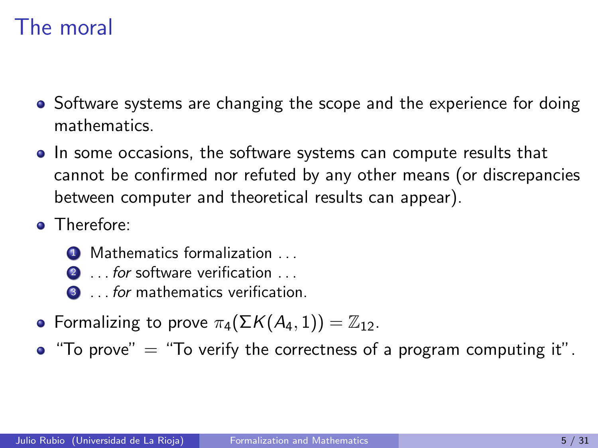#### The moral

- Software systems are changing the scope and the experience for doing mathematics.
- In some occasions, the software systems can compute results that cannot be confirmed nor refuted by any other means (or discrepancies between computer and theoretical results can appear).
- Therefore:
	- **4** Mathematics formalization . . .
	- 2 ... for software verification ...
	- **3** ... for mathematics verification.
- **•** Formalizing to prove  $\pi_4(\Sigma K(A_4, 1)) = \mathbb{Z}_{12}$ .
- $\bullet$  "To prove"  $=$  "To verify the correctness of a program computing it".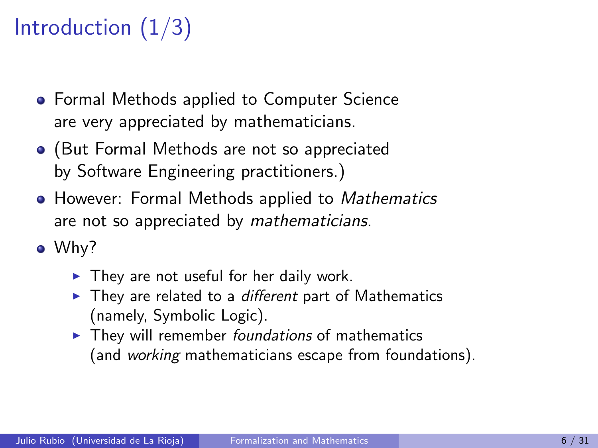# Introduction  $(1/3)$

- **Formal Methods applied to Computer Science** are very appreciated by mathematicians.
- (But Formal Methods are not so appreciated by Software Engineering practitioners.)
- **However: Formal Methods applied to** *Mathematics* are not so appreciated by mathematicians.
- Why?
	- $\blacktriangleright$  They are not useful for her daily work.
	- $\blacktriangleright$  They are related to a *different* part of Mathematics (namely, Symbolic Logic).
	- $\blacktriangleright$  They will remember foundations of mathematics (and working mathematicians escape from foundations).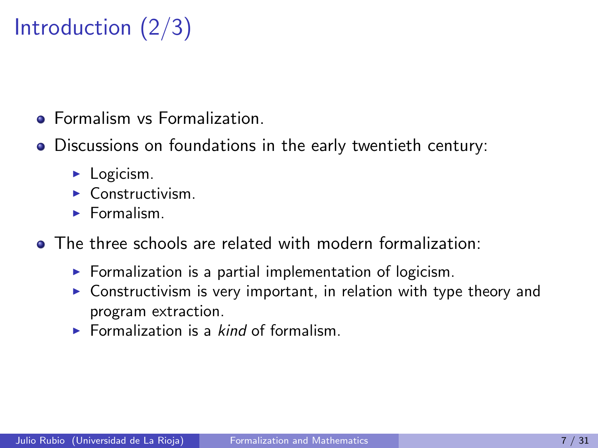# Introduction (2/3)

- **Formalism vs Formalization**
- Discussions on foundations in the early twentieth century:
	- $\blacktriangleright$  Logicism.
	- $\blacktriangleright$  Constructivism.
	- $\blacktriangleright$  Formalism.
- The three schools are related with modern formalization:
	- $\triangleright$  Formalization is a partial implementation of logicism.
	- $\triangleright$  Constructivism is very important, in relation with type theory and program extraction.
	- $\triangleright$  Formalization is a *kind* of formalism.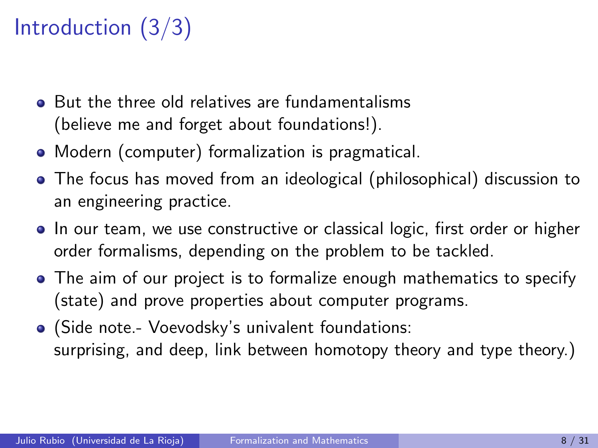# Introduction (3/3)

- **But the three old relatives are fundamentalisms** (believe me and forget about foundations!).
- Modern (computer) formalization is pragmatical.
- The focus has moved from an ideological (philosophical) discussion to an engineering practice.
- In our team, we use constructive or classical logic, first order or higher order formalisms, depending on the problem to be tackled.
- The aim of our project is to formalize enough mathematics to specify (state) and prove properties about computer programs.
- (Side note.- Voevodsky's univalent foundations: surprising, and deep, link between homotopy theory and type theory.)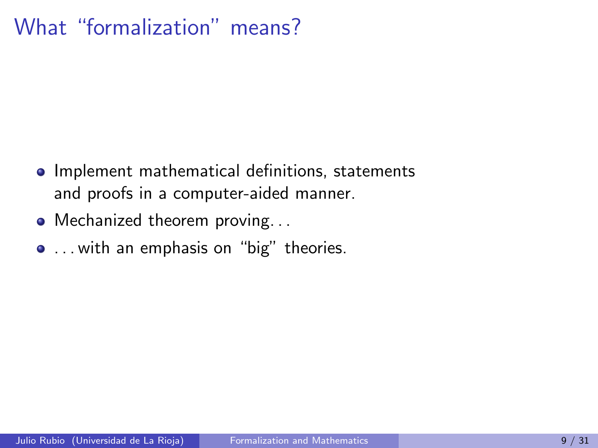#### What "formalization" means?

- **•** Implement mathematical definitions, statements and proofs in a computer-aided manner.
- Mechanized theorem proving...
- . . . with an emphasis on "big" theories.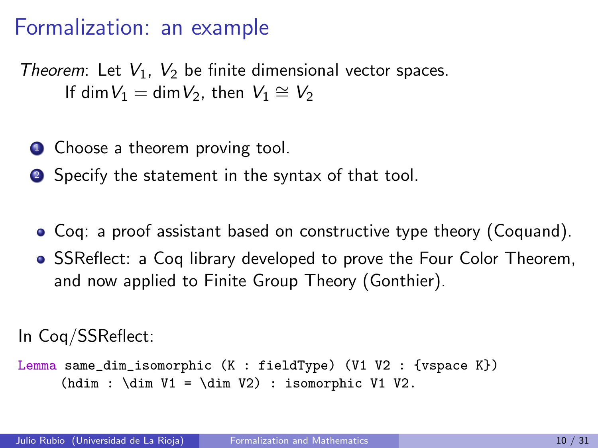#### Formalization: an example

Theorem: Let  $V_1$ ,  $V_2$  be finite dimensional vector spaces. If dim  $V_1 = \dim V_2$ , then  $V_1 \cong V_2$ 

- **1** Choose a theorem proving tool.
- <sup>2</sup> Specify the statement in the syntax of that tool.
	- Coq: a proof assistant based on constructive type theory (Coquand).
	- SSReflect: a Coq library developed to prove the Four Color Theorem, and now applied to Finite Group Theory (Gonthier).

```
In Coq/SSReflect:
```

```
Lemma same_dim_isomorphic (K : fieldType) (V1 V2 : {vspace K})
     (hdim : \dim V1 = \dim V2) : isomorphic V1 V2.
```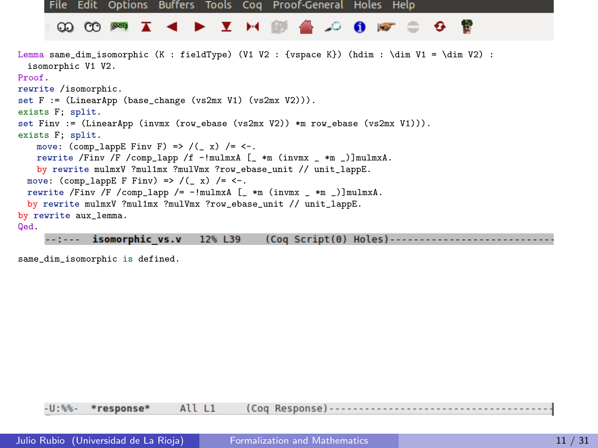

 $-$ : $-$ - isomorphic vs.v 12% L39 (Coq Script(0) Holes)------

same dim isomorphic is defined.

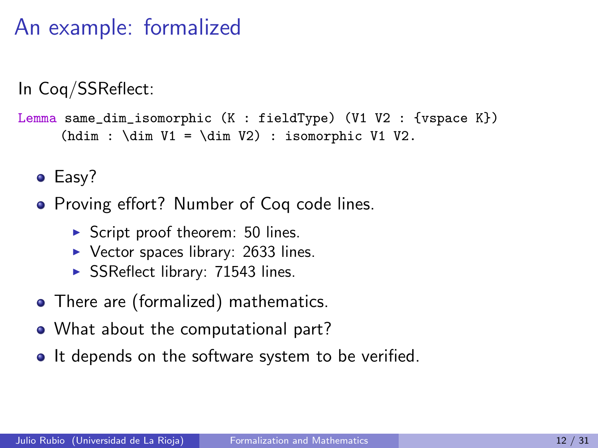#### An example: formalized

In Coq/SSReflect:

```
Lemma same_dim_isomorphic (K : fieldType) (V1 V2 : {vspace K})
     (hdim : \dim V1 = \dim V2) : isomorphic V1 V2.
```
• Easy?

• Proving effort? Number of Coq code lines.

- $\triangleright$  Script proof theorem: 50 lines.
- $\triangleright$  Vector spaces library: 2633 lines.
- $\triangleright$  SSReflect library: 71543 lines.
- There are (formalized) mathematics.
- What about the computational part?
- It depends on the software system to be verified.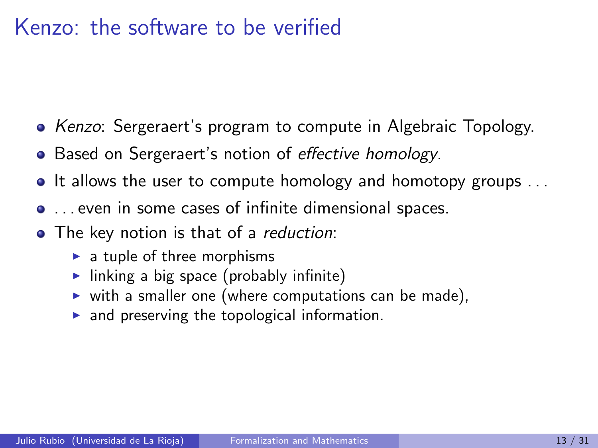#### Kenzo: the software to be verified

- Kenzo: Sergeraert's program to compute in Algebraic Topology.
- Based on Sergeraert's notion of effective homology.
- It allows the user to compute homology and homotopy groups ...
- . . . even in some cases of infinite dimensional spaces.
- The key notion is that of a reduction:
	- $\blacktriangleright$  a tuple of three morphisms
	- Inking a big space (probably infinite)
	- $\triangleright$  with a smaller one (where computations can be made),
	- $\blacktriangleright$  and preserving the topological information.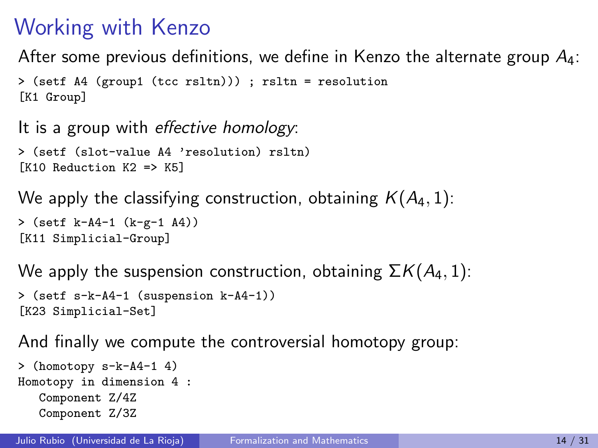## Working with Kenzo

After some previous definitions, we define in Kenzo the alternate group  $A_4$ :

```
> (setf A4 (group1 (tcc rsltn))) ; rsltn = resolution
[K1 Group]
```

```
It is a group with effective homology:
> (setf (slot-value A4 'resolution) rsltn)
```

```
[K10 Reduction K2 => K5]
```

```
We apply the classifying construction, obtaining K(A_4, 1):
```

```
> (setf k-A4-1 (k-g-1 A4))
[K11 Simplicial-Group]
```
We apply the suspension construction, obtaining  $\Sigma K(A_4, 1)$ :

```
> (setf s-k-A4-1 (suspension k-A4-1))
[K23 Simplicial-Set]
```
And finally we compute the controversial homotopy group:

```
> (homotopy s-k-A4-1 4)
Homotopy in dimension 4 :
  Component Z/4Z
  Component Z/3Z
```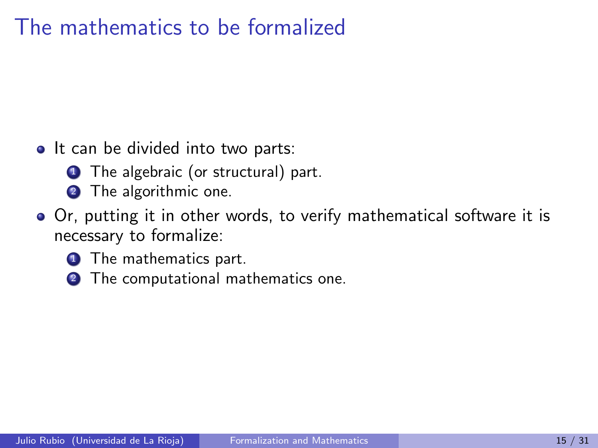#### The mathematics to be formalized

- It can be divided into two parts:
	- **1** The algebraic (or structural) part.
	- 2 The algorithmic one.
- Or, putting it in other words, to verify mathematical software it is necessary to formalize:
	- **1** The mathematics part.
	- **2** The computational mathematics one.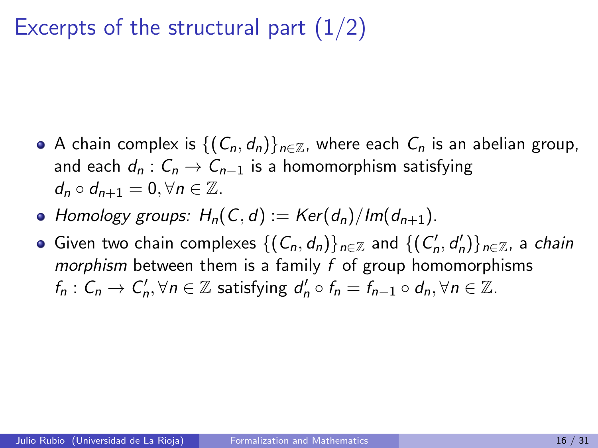#### Excerpts of the structural part  $(1/2)$

- A chain complex is  $\{(C_n, d_n)\}_{n\in\mathbb{Z}}$ , where each  $C_n$  is an abelian group, and each  $d_n$  :  $C_n \rightarrow C_{n-1}$  is a homomorphism satisfying  $d_n \circ d_{n+1} = 0, \forall n \in \mathbb{Z}$ .
- Homology groups:  $H_n(C, d) := \text{Ker}(d_n)/\text{Im}(d_{n+1}).$
- Given two chain complexes  $\{(C_n,d_n)\}_{n\in\mathbb{Z}}$  and  $\{(C'_n,d'_n)\}_{n\in\mathbb{Z}}$ , a *chain* morphism between them is a family  $f$  of group homomorphisms  $f_n: C_n \to C'_n, \forall n \in \mathbb{Z}$  satisfying  $d'_n \circ f_n = f_{n-1} \circ d_n, \forall n \in \mathbb{Z}$ .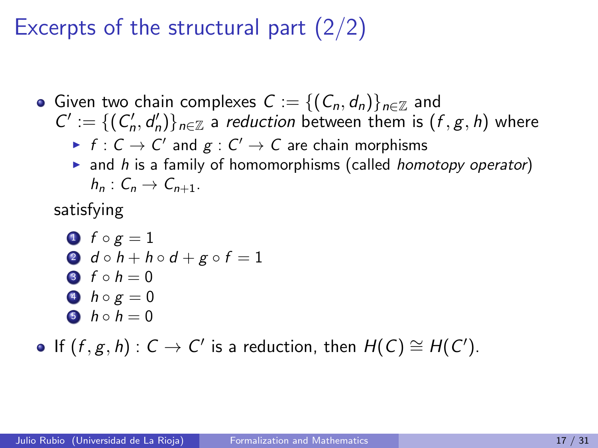#### Excerpts of the structural part  $(2/2)$

- Given two chain complexes  $C := \{(C_n, d_n)\}_{n \in \mathbb{Z}}$  and  $C' := \{ (C'_n, d'_n) \}_{n \in \mathbb{Z}}$  a reduction between them is  $(f, g, h)$  where
	- $\blacktriangleright$   $f: \mathsf{C}\to\mathsf{C}'$  and  $g:\mathsf{C}'\to\mathsf{C}$  are chain morphisms
	- $\triangleright$  and h is a family of homomorphisms (called homotopy operator)  $h_n: C_n \to C_{n+1}$ .

satisfying

\n- $$
f \circ g = 1
$$
\n- $d \circ h + h \circ d + g \circ f = 1$
\n- $f \circ h = 0$
\n- $h \circ g = 0$
\n- $h \circ h = 0$
\n

If  $(f, g, h) : C \to C'$  is a reduction, then  $H(C) \cong H(C').$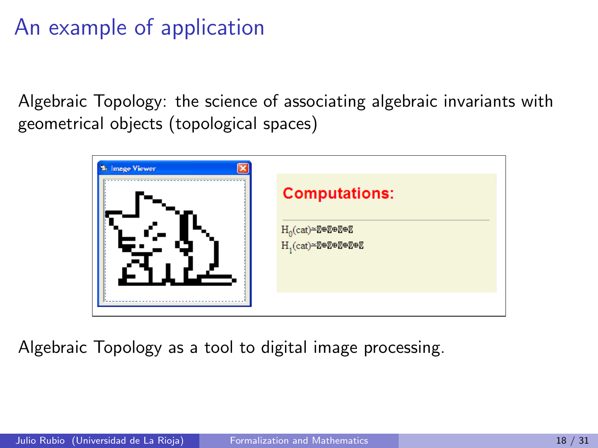#### An example of application

Algebraic Topology: the science of associating algebraic invariants with geometrical objects (topological spaces)

| St. Image Viewer |                                                                      |
|------------------|----------------------------------------------------------------------|
|                  | <b>Computations:</b><br>$H_0$ (cat)=ጀ⊕ጀ⊕ጀ⊕ጀ<br>$H_1$ (cat)=ጀ⊕ጀ⊕ጀ⊕ጀ⊕ጀ |
|                  |                                                                      |

Algebraic Topology as a tool to digital image processing.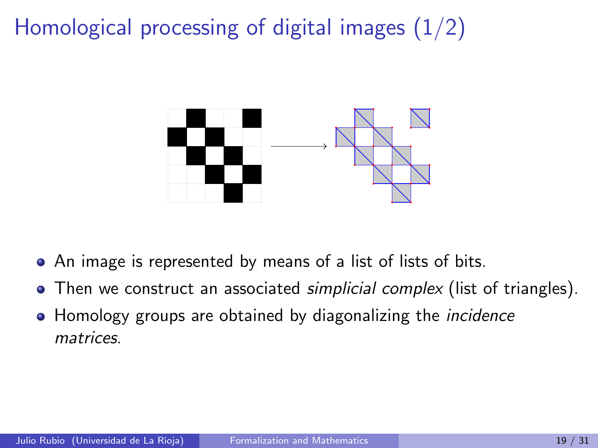Homological processing of digital images  $(1/2)$ 



- An image is represented by means of a list of lists of bits.
- $\bullet$  Then we construct an associated *simplicial complex* (list of triangles).
- Homology groups are obtained by diagonalizing the *incidence* matrices.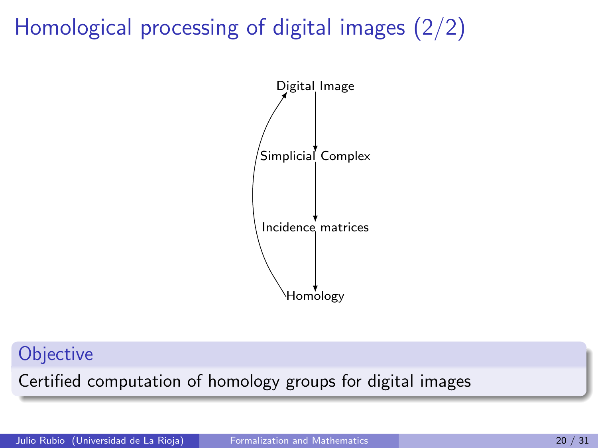## Homological processing of digital images (2/2)



#### **Objective**

Certified computation of homology groups for digital images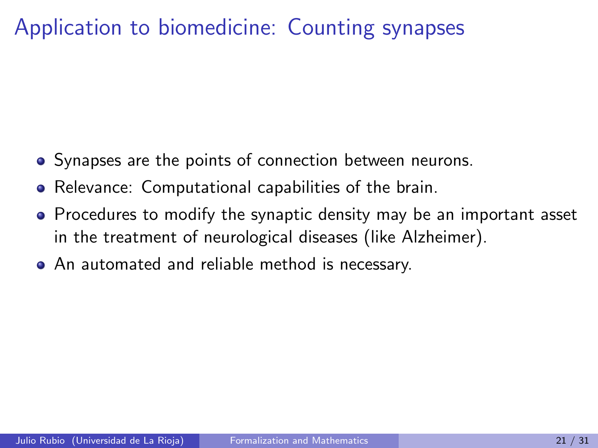- Synapses are the points of connection between neurons.
- Relevance: Computational capabilities of the brain.
- Procedures to modify the synaptic density may be an important asset in the treatment of neurological diseases (like Alzheimer).
- An automated and reliable method is necessary.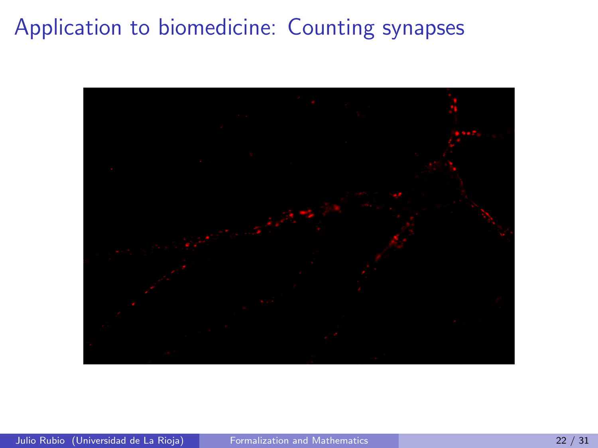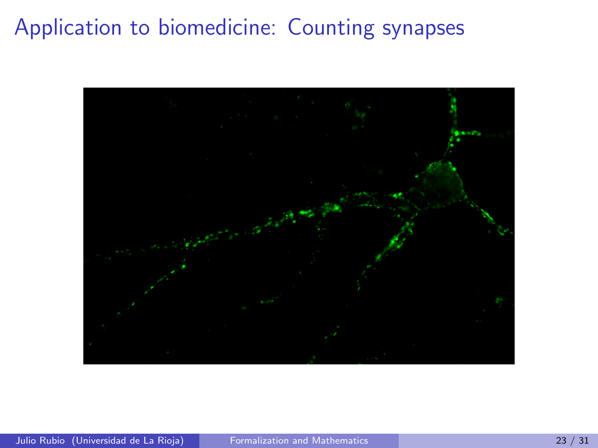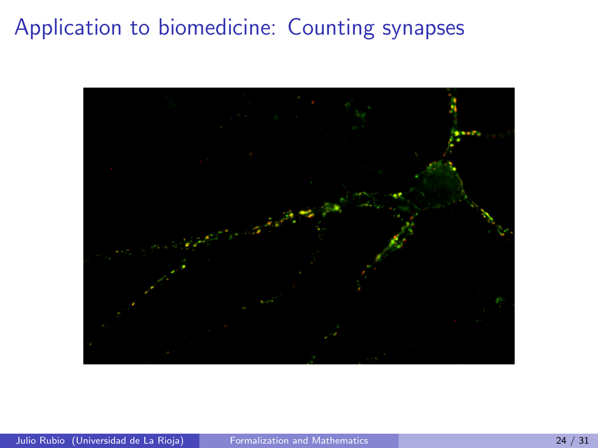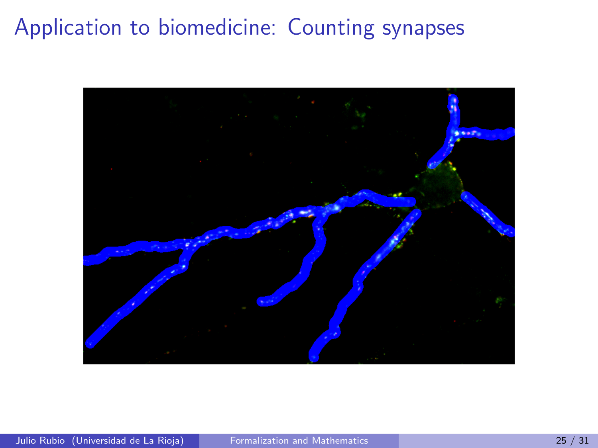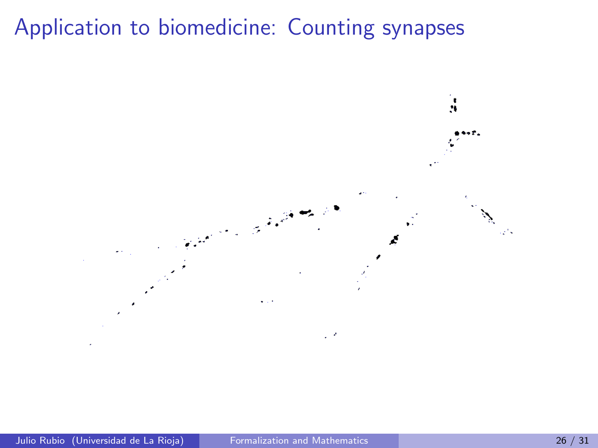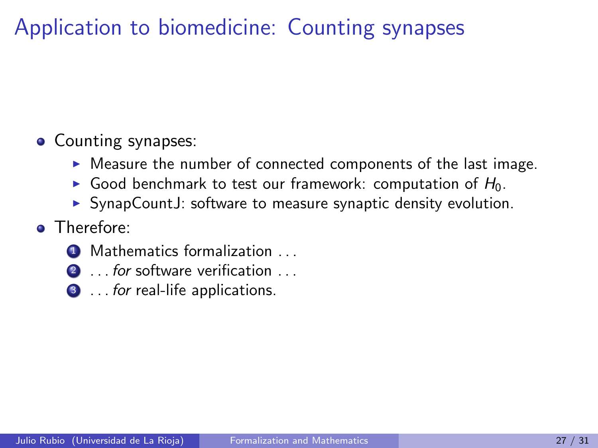#### • Counting synapses:

- $\triangleright$  Measure the number of connected components of the last image.
- Good benchmark to test our framework: computation of  $H_0$ .
- $\triangleright$  SynapCountJ: software to measure synaptic density evolution.
- **o** Therefore:
	- **1** Mathematics formalization . . .
	- 2 ... for software verification ...
	- **3** . . . for real-life applications.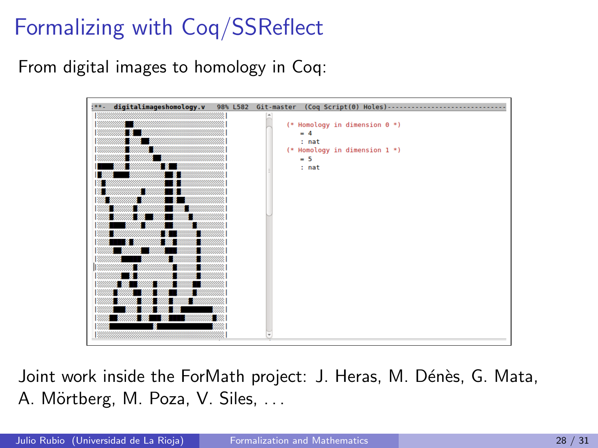# Formalizing with Coq/SSReflect

From digital images to homology in Coq:



Joint work inside the ForMath project: J. Heras, M. Dénès, G. Mata, A. Mörtberg, M. Poza, V. Siles, ...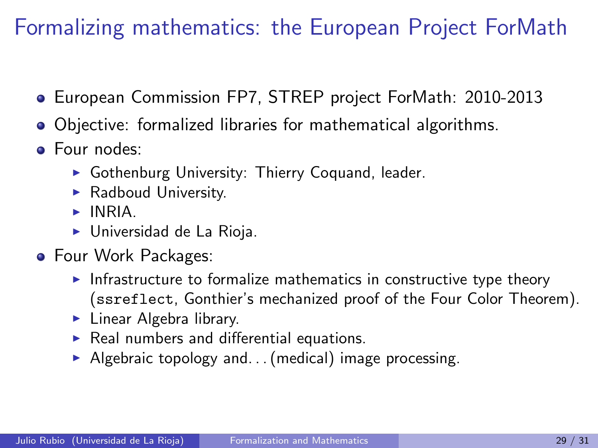## Formalizing mathematics: the European Project ForMath

- European Commission FP7, STREP project ForMath: 2010-2013
- Objective: formalized libraries for mathematical algorithms.
- Four nodes:
	- $\triangleright$  Gothenburg University: Thierry Coquand, leader.
	- $\blacktriangleright$  Radboud University.
	- $\blacktriangleright$  INRIA.
	- $\blacktriangleright$  Universidad de La Rioja.
- **•** Four Work Packages:
	- Infrastructure to formalize mathematics in constructive type theory (ssreflect, Gonthier's mechanized proof of the Four Color Theorem).
	- $\blacktriangleright$  Linear Algebra library.
	- $\triangleright$  Real numbers and differential equations.
	- Algebraic topology and... (medical) image processing.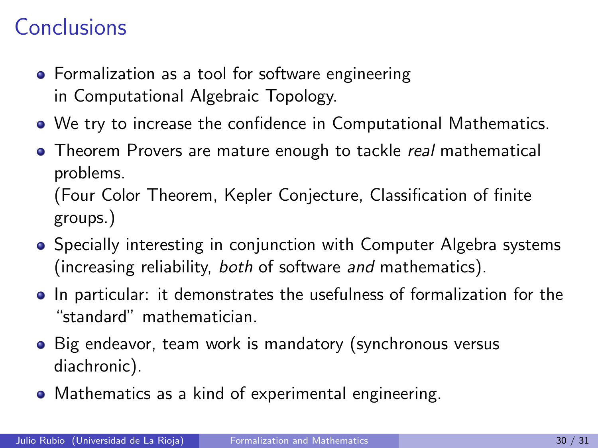#### **Conclusions**

- **•** Formalization as a tool for software engineering in Computational Algebraic Topology.
- We try to increase the confidence in Computational Mathematics.
- Theorem Provers are mature enough to tackle real mathematical problems. (Four Color Theorem, Kepler Conjecture, Classification of finite groups.)
- **•** Specially interesting in conjunction with Computer Algebra systems (increasing reliability, both of software and mathematics).
- In particular: it demonstrates the usefulness of formalization for the "standard" mathematician.
- Big endeavor, team work is mandatory (synchronous versus diachronic).
- Mathematics as a kind of experimental engineering.